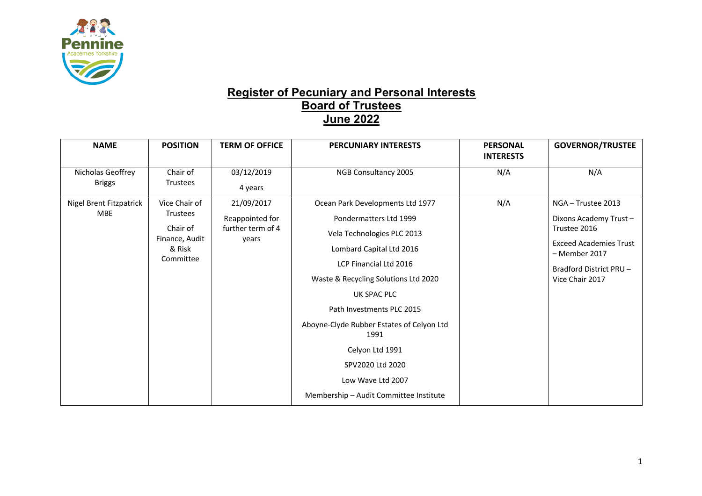

## **Register of Pecuniary and Personal Interests Board of Trustees June 2022**

| <b>NAME</b>                           | <b>POSITION</b>                                                                | <b>TERM OF OFFICE</b>                                       | <b>PERCUNIARY INTERESTS</b>                                                                                                                                                                                                                                                                                                                                                                   | <b>PERSONAL</b><br><b>INTERESTS</b> | <b>GOVERNOR/TRUSTEE</b>                                                                                                                                    |
|---------------------------------------|--------------------------------------------------------------------------------|-------------------------------------------------------------|-----------------------------------------------------------------------------------------------------------------------------------------------------------------------------------------------------------------------------------------------------------------------------------------------------------------------------------------------------------------------------------------------|-------------------------------------|------------------------------------------------------------------------------------------------------------------------------------------------------------|
| Nicholas Geoffrey<br><b>Briggs</b>    | Chair of<br><b>Trustees</b>                                                    | 03/12/2019<br>4 years                                       | NGB Consultancy 2005                                                                                                                                                                                                                                                                                                                                                                          | N/A                                 | N/A                                                                                                                                                        |
| Nigel Brent Fitzpatrick<br><b>MBE</b> | Vice Chair of<br>Trustees<br>Chair of<br>Finance, Audit<br>& Risk<br>Committee | 21/09/2017<br>Reappointed for<br>further term of 4<br>years | Ocean Park Developments Ltd 1977<br>Pondermatters Ltd 1999<br>Vela Technologies PLC 2013<br>Lombard Capital Ltd 2016<br>LCP Financial Ltd 2016<br>Waste & Recycling Solutions Ltd 2020<br>UK SPAC PLC<br>Path Investments PLC 2015<br>Aboyne-Clyde Rubber Estates of Celyon Ltd<br>1991<br>Celyon Ltd 1991<br>SPV2020 Ltd 2020<br>Low Wave Ltd 2007<br>Membership - Audit Committee Institute | N/A                                 | NGA - Trustee 2013<br>Dixons Academy Trust-<br>Trustee 2016<br><b>Exceed Academies Trust</b><br>- Member 2017<br>Bradford District PRU-<br>Vice Chair 2017 |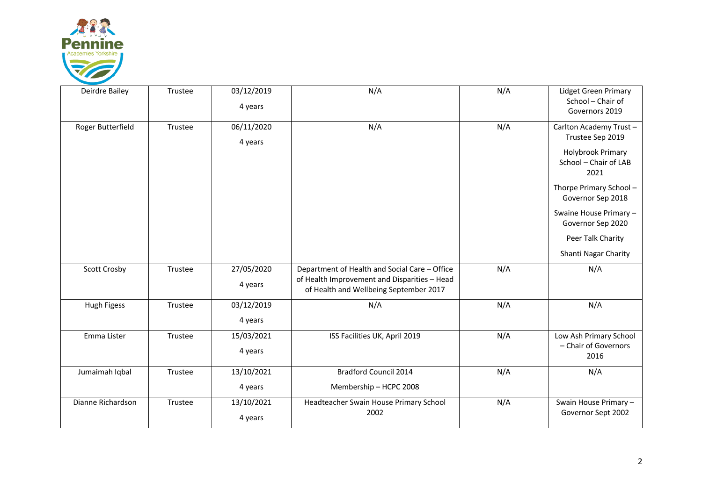

| Deirdre Bailey    | Trustee | 03/12/2019 | N/A                                                                                    | N/A | Lidget Green Primary                               |
|-------------------|---------|------------|----------------------------------------------------------------------------------------|-----|----------------------------------------------------|
|                   |         | 4 years    |                                                                                        |     | School - Chair of<br>Governors 2019                |
| Roger Butterfield | Trustee | 06/11/2020 | N/A                                                                                    | N/A | Carlton Academy Trust-                             |
|                   |         | 4 years    |                                                                                        |     | Trustee Sep 2019                                   |
|                   |         |            |                                                                                        |     | Holybrook Primary<br>School - Chair of LAB<br>2021 |
|                   |         |            |                                                                                        |     | Thorpe Primary School-<br>Governor Sep 2018        |
|                   |         |            |                                                                                        |     | Swaine House Primary -<br>Governor Sep 2020        |
|                   |         |            |                                                                                        |     | Peer Talk Charity                                  |
|                   |         |            |                                                                                        |     | Shanti Nagar Charity                               |
| Scott Crosby      | Trustee | 27/05/2020 | Department of Health and Social Care - Office                                          | N/A | N/A                                                |
|                   |         | 4 years    | of Health Improvement and Disparities - Head<br>of Health and Wellbeing September 2017 |     |                                                    |
| Hugh Figess       | Trustee | 03/12/2019 | N/A                                                                                    | N/A | N/A                                                |
|                   |         | 4 years    |                                                                                        |     |                                                    |
| Emma Lister       | Trustee | 15/03/2021 | ISS Facilities UK, April 2019                                                          | N/A | Low Ash Primary School                             |
|                   |         | 4 years    |                                                                                        |     | - Chair of Governors<br>2016                       |
| Jumaimah Iqbal    | Trustee | 13/10/2021 | <b>Bradford Council 2014</b>                                                           | N/A | N/A                                                |
|                   |         | 4 years    | Membership - HCPC 2008                                                                 |     |                                                    |
| Dianne Richardson | Trustee | 13/10/2021 | Headteacher Swain House Primary School                                                 | N/A | Swain House Primary -                              |
|                   |         | 4 years    | 2002                                                                                   |     | Governor Sept 2002                                 |